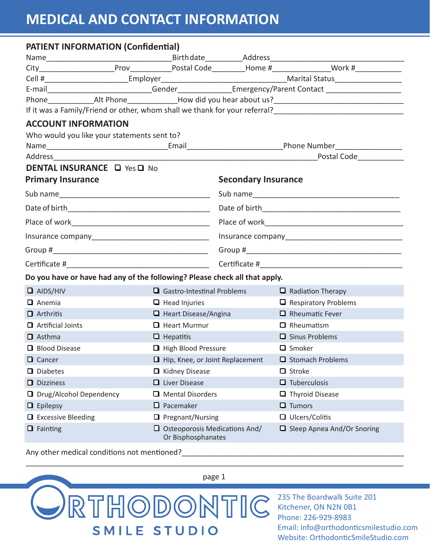# **MEDICAL AND CONTACT INFORMATION**

| <b>PATIENT INFORMATION (Confidential)</b>                                                                                                                                                  |                                                            |                            |                                                                                                     |  |  |
|--------------------------------------------------------------------------------------------------------------------------------------------------------------------------------------------|------------------------------------------------------------|----------------------------|-----------------------------------------------------------------------------------------------------|--|--|
|                                                                                                                                                                                            |                                                            |                            |                                                                                                     |  |  |
|                                                                                                                                                                                            |                                                            |                            |                                                                                                     |  |  |
|                                                                                                                                                                                            |                                                            |                            |                                                                                                     |  |  |
|                                                                                                                                                                                            |                                                            |                            | E-mail____________________________Gender_______________Emergency/Parent Contact ___________________ |  |  |
|                                                                                                                                                                                            |                                                            |                            |                                                                                                     |  |  |
| If it was a Family/Friend or other, whom shall we thank for your referral?<br>1920 - Theory Mann Phone London Mann London Mann London Mann London of the Union Scholars and Mann Mann Mann |                                                            |                            |                                                                                                     |  |  |
| <b>ACCOUNT INFORMATION</b>                                                                                                                                                                 |                                                            |                            |                                                                                                     |  |  |
| Who would you like your statements sent to?                                                                                                                                                |                                                            |                            |                                                                                                     |  |  |
|                                                                                                                                                                                            |                                                            |                            |                                                                                                     |  |  |
|                                                                                                                                                                                            |                                                            |                            |                                                                                                     |  |  |
| <b>DENTAL INSURANCE La Yes La No.</b>                                                                                                                                                      |                                                            |                            |                                                                                                     |  |  |
| <b>Primary Insurance</b>                                                                                                                                                                   |                                                            | <b>Secondary Insurance</b> |                                                                                                     |  |  |
|                                                                                                                                                                                            |                                                            |                            |                                                                                                     |  |  |
|                                                                                                                                                                                            |                                                            |                            |                                                                                                     |  |  |
|                                                                                                                                                                                            |                                                            |                            |                                                                                                     |  |  |
|                                                                                                                                                                                            |                                                            |                            |                                                                                                     |  |  |
|                                                                                                                                                                                            |                                                            |                            |                                                                                                     |  |  |
|                                                                                                                                                                                            |                                                            |                            |                                                                                                     |  |  |
| Do you have or have had any of the following? Please check all that apply.                                                                                                                 |                                                            |                            |                                                                                                     |  |  |
| $\Box$ AIDS/HIV                                                                                                                                                                            | $\Box$ Gastro-Intestinal Problems                          |                            | $\Box$ Radiation Therapy                                                                            |  |  |
| $\Box$ Anemia                                                                                                                                                                              | $\Box$ Head Injuries                                       |                            | $\Box$ Respiratory Problems                                                                         |  |  |
| $\Box$ Arthritis                                                                                                                                                                           | $\Box$ Heart Disease/Angina                                |                            | $\Box$ Rheumatic Fever                                                                              |  |  |
| Artificial Joints                                                                                                                                                                          | <b>Q</b> Heart Murmur                                      |                            | $\Box$ Rheumatism                                                                                   |  |  |
| $\Box$ Asthma                                                                                                                                                                              | $\Box$ Hepatitis                                           |                            | $\Box$ Sinus Problems                                                                               |  |  |
| <b>Q</b> Blood Disease                                                                                                                                                                     | High Blood Pressure                                        |                            | $\Box$ Smoker                                                                                       |  |  |
| Q Cancer                                                                                                                                                                                   | $\Box$ Hip, Knee, or Joint Replacement                     |                            | Stomach Problems                                                                                    |  |  |
| $\Box$ Diabetes                                                                                                                                                                            | $\Box$ Kidney Disease                                      |                            | $\Box$ Stroke                                                                                       |  |  |
| $\Box$ Dizziness                                                                                                                                                                           | $\Box$ Liver Disease                                       |                            | $\Box$ Tuberculosis                                                                                 |  |  |
| □ Drug/Alcohol Dependency                                                                                                                                                                  | □ Mental Disorders                                         |                            | $\blacksquare$ Thyroid Disease                                                                      |  |  |
| $\blacksquare$ Epilepsy                                                                                                                                                                    | $\Box$ Pacemaker                                           |                            | $\Box$ Tumors                                                                                       |  |  |
| $\Box$ Excessive Bleeding                                                                                                                                                                  | $\Box$ Pregnant/Nursing                                    |                            | $\Box$ Ulcers/Colitis                                                                               |  |  |
| $\blacksquare$ Fainting                                                                                                                                                                    | $\Box$ Osteoporosis Medications And/<br>Or Bisphosphanates |                            | Sleep Apnea And/Or Snoring                                                                          |  |  |

\_\_\_\_\_\_\_\_\_\_\_\_\_\_\_\_\_\_\_\_\_\_\_\_\_\_\_\_\_\_\_\_\_\_\_\_\_\_\_\_\_\_\_\_\_\_\_\_\_\_\_\_\_\_\_\_\_\_\_\_\_\_\_\_\_\_\_\_\_\_\_\_\_\_\_\_\_\_\_\_\_\_\_\_\_\_\_\_\_\_

Any other medical conditions not mentioned?



235 The Boardwalk Suite 201 Kitchener, ON N2N 0B1 Phone: 226-929-8983 Email: info@orthodonticsmilestudio.com Website: OrthodonticSmileStudio.com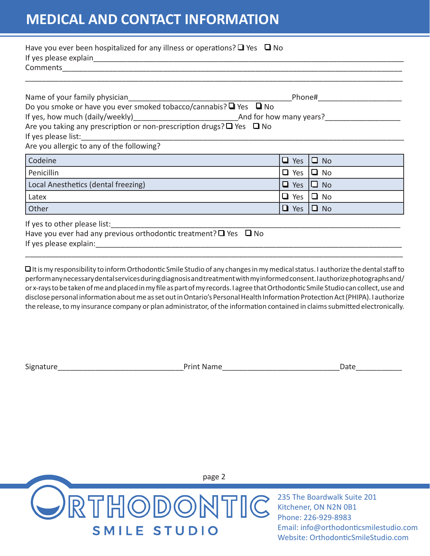## **MEDICAL AND CONTACT INFORMATION**

| Have you ever been hospitalized for any illness or operations? $\Box$ Yes $\Box$ No                                                                                                                                            |                      |  |  |  |  |
|--------------------------------------------------------------------------------------------------------------------------------------------------------------------------------------------------------------------------------|----------------------|--|--|--|--|
|                                                                                                                                                                                                                                |                      |  |  |  |  |
|                                                                                                                                                                                                                                |                      |  |  |  |  |
|                                                                                                                                                                                                                                |                      |  |  |  |  |
|                                                                                                                                                                                                                                |                      |  |  |  |  |
|                                                                                                                                                                                                                                |                      |  |  |  |  |
| Are you taking any prescription or non-prescription drugs? $\Box$ Yes $\Box$ No                                                                                                                                                |                      |  |  |  |  |
|                                                                                                                                                                                                                                |                      |  |  |  |  |
| Are you allergic to any of the following?                                                                                                                                                                                      |                      |  |  |  |  |
| Codeine                                                                                                                                                                                                                        | $\Box$ Yes $\Box$ No |  |  |  |  |
| Penicillin                                                                                                                                                                                                                     | $\Box$ Yes $\Box$ No |  |  |  |  |
| Local Anesthetics (dental freezing)                                                                                                                                                                                            | $\Box$ Yes $\Box$ No |  |  |  |  |
| Latex                                                                                                                                                                                                                          | $\Box$ Yes $\Box$ No |  |  |  |  |
| Other                                                                                                                                                                                                                          | $\Box$ Yes $\Box$ No |  |  |  |  |
|                                                                                                                                                                                                                                |                      |  |  |  |  |
| If yes to other please list:<br>Have you ever had any previous orthodontic treatment? $\Box$ Yes $\Box$ No                                                                                                                     |                      |  |  |  |  |
| If yes please explain: The same state of the state of the state of the state of the state of the state of the state of the state of the state of the state of the state of the state of the state of the state of the state of |                      |  |  |  |  |
|                                                                                                                                                                                                                                |                      |  |  |  |  |

 $\Box$  It is my responsibility to inform Orthodontic Smile Studio of any changes in my medical status. I authorize the dental staff to perform any necessary dental services during diagnosis and treatment with my informed consent. I authorize photographs and/ or x-rays to be taken of me and placed in my file as part of my records. I agree that Orthodontic Smile Studio can collect, use and disclose personal information about me as set out in Ontario's Personal Health Information Protection Act (PHIPA). I authorize the release, to my insurance company or plan administrator, of the information contained in claims submitted electronically.

Signature The Contract of the Contract of Print Name Contract of the Contract of Date



235 The Boardwalk Suite 201 Kitchener, ON N2N 0B1 Phone: 226-929-8983 Email: info@orthodonticsmilestudio.com Website: OrthodonticSmileStudio.com

page 2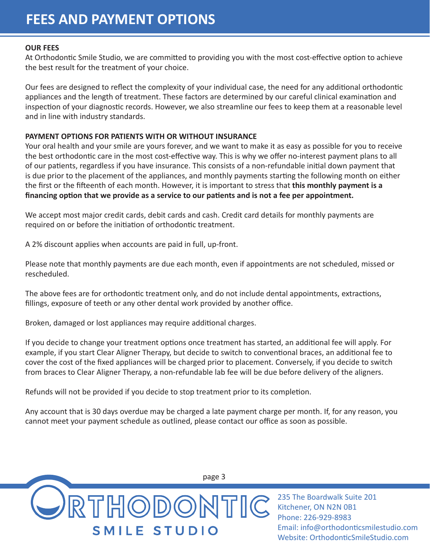## **FEES AND PAYMENT OPTIONS**

#### **OUR FEES**

At Orthodontic Smile Studio, we are committed to providing you with the most cost-effective option to achieve the best result for the treatment of your choice.

Our fees are designed to reflect the complexity of your individual case, the need for any additional orthodontic appliances and the length of treatment. These factors are determined by our careful clinical examination and inspection of your diagnostic records. However, we also streamline our fees to keep them at a reasonable level and in line with industry standards.

#### **PAYMENT OPTIONS FOR PATIENTS WITH OR WITHOUT INSURANCE**

Your oral health and your smile are yours forever, and we want to make it as easy as possible for you to receive the best orthodontic care in the most cost-effective way. This is why we offer no-interest payment plans to all of our patients, regardless if you have insurance. This consists of a non-refundable initial down payment that is due prior to the placement of the appliances, and monthly payments starting the following month on either the first or the fifteenth of each month. However, it is important to stress that **this monthly payment is a financing option that we provide as a service to our patients and is not a fee per appointment.**

We accept most major credit cards, debit cards and cash. Credit card details for monthly payments are required on or before the initiation of orthodontic treatment.

A 2% discount applies when accounts are paid in full, up-front.

Please note that monthly payments are due each month, even if appointments are not scheduled, missed or rescheduled.

The above fees are for orthodontic treatment only, and do not include dental appointments, extractions, fillings, exposure of teeth or any other dental work provided by another office.

Broken, damaged or lost appliances may require additional charges.

If you decide to change your treatment options once treatment has started, an additional fee will apply. For example, if you start Clear Aligner Therapy, but decide to switch to conventional braces, an additional fee to cover the cost of the fixed appliances will be charged prior to placement. Conversely, if you decide to switch from braces to Clear Aligner Therapy, a non-refundable lab fee will be due before delivery of the aligners.

Refunds will not be provided if you decide to stop treatment prior to its completion.

Any account that is 30 days overdue may be charged a late payment charge per month. If, for any reason, you cannot meet your payment schedule as outlined, please contact our office as soon as possible.



235 The Boardwalk Suite 201 Kitchener, ON N2N 0B1 Phone: 226-929-8983 Email: info@orthodonticsmilestudio.com Website: OrthodonticSmileStudio.com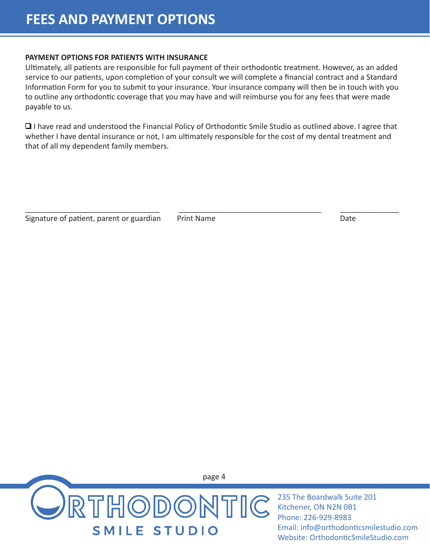#### **PAYMENT OPTIONS FOR PATIENTS WITH INSURANCE**

Ultimately, all patients are responsible for full payment of their orthodontic treatment. However, as an added service to our patients, upon completion of your consult we will complete a financial contract and a Standard Information Form for you to submit to your insurance. Your insurance company will then be in touch with you to outline any orthodontic coverage that you may have and will reimburse you for any fees that were made payable to us.

 $\Box$  I have read and understood the Financial Policy of Orthodontic Smile Studio as outlined above. I agree that whether I have dental insurance or not, I am ultimately responsible for the cost of my dental treatment and that of all my dependent family members.

\_\_\_\_\_\_\_\_\_\_\_\_\_\_\_\_\_\_\_\_\_\_\_\_\_\_\_\_\_\_\_\_ \_\_\_\_\_\_\_\_\_\_\_\_\_\_\_\_\_\_\_\_\_\_\_\_\_\_\_\_\_\_\_\_\_\_ \_\_\_\_\_\_\_\_\_\_\_\_\_\_

Signature of patient, parent or guardian Print Name Date



235 The Boardwalk Suite 201 Kitchener, ON N2N 0B1 Phone: 226-929-8983 Email: info@orthodonticsmilestudio.com Website: OrthodonticSmileStudio.com

page 4